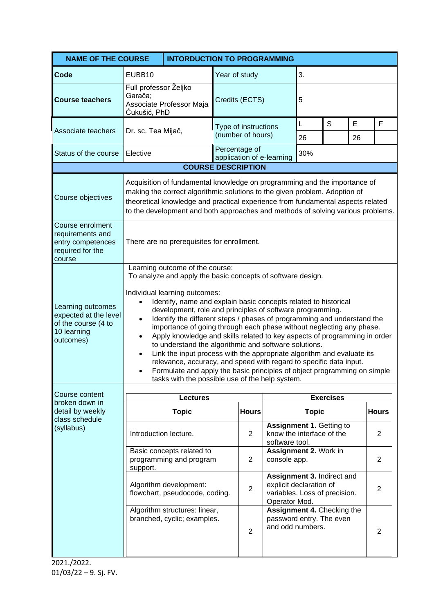| <b>NAME OF THE COURSE</b>                                                                     |                                                                                                                                                                                                                                                                                                                                                                                                                                                                                                                                                                                                                                                                                                                                                                                                                                                                        |                                                              |                                           | <b>INTORDUCTION TO PROGRAMMING</b> |                                                                                                         |              |                  |    |                |
|-----------------------------------------------------------------------------------------------|------------------------------------------------------------------------------------------------------------------------------------------------------------------------------------------------------------------------------------------------------------------------------------------------------------------------------------------------------------------------------------------------------------------------------------------------------------------------------------------------------------------------------------------------------------------------------------------------------------------------------------------------------------------------------------------------------------------------------------------------------------------------------------------------------------------------------------------------------------------------|--------------------------------------------------------------|-------------------------------------------|------------------------------------|---------------------------------------------------------------------------------------------------------|--------------|------------------|----|----------------|
| Code                                                                                          | EUBB10                                                                                                                                                                                                                                                                                                                                                                                                                                                                                                                                                                                                                                                                                                                                                                                                                                                                 |                                                              | 3.<br>Year of study                       |                                    |                                                                                                         |              |                  |    |                |
| <b>Course teachers</b>                                                                        | Full professor Željko<br>Garača;<br>Associate Professor Maja<br>Ćukušić, PhD                                                                                                                                                                                                                                                                                                                                                                                                                                                                                                                                                                                                                                                                                                                                                                                           |                                                              | Credits (ECTS)                            |                                    |                                                                                                         | 5            |                  |    |                |
| Associate teachers<br>Dr. sc. Tea Mijač,                                                      |                                                                                                                                                                                                                                                                                                                                                                                                                                                                                                                                                                                                                                                                                                                                                                                                                                                                        |                                                              | Type of instructions<br>(number of hours) |                                    |                                                                                                         |              | S                | E  | F              |
|                                                                                               |                                                                                                                                                                                                                                                                                                                                                                                                                                                                                                                                                                                                                                                                                                                                                                                                                                                                        |                                                              |                                           |                                    |                                                                                                         | 26           |                  | 26 |                |
| Status of the course                                                                          | Elective                                                                                                                                                                                                                                                                                                                                                                                                                                                                                                                                                                                                                                                                                                                                                                                                                                                               |                                                              | Percentage of                             |                                    | application of e-learning                                                                               | 30%          |                  |    |                |
|                                                                                               |                                                                                                                                                                                                                                                                                                                                                                                                                                                                                                                                                                                                                                                                                                                                                                                                                                                                        | <b>COURSE DESCRIPTION</b>                                    |                                           |                                    |                                                                                                         |              |                  |    |                |
| Course objectives                                                                             | Acquisition of fundamental knowledge on programming and the importance of<br>making the correct algorithmic solutions to the given problem. Adoption of<br>theoretical knowledge and practical experience from fundamental aspects related<br>to the development and both approaches and methods of solving various problems.                                                                                                                                                                                                                                                                                                                                                                                                                                                                                                                                          |                                                              |                                           |                                    |                                                                                                         |              |                  |    |                |
| Course enrolment<br>requirements and<br>entry competences<br>required for the<br>course       | There are no prerequisites for enrollment.                                                                                                                                                                                                                                                                                                                                                                                                                                                                                                                                                                                                                                                                                                                                                                                                                             |                                                              |                                           |                                    |                                                                                                         |              |                  |    |                |
| Learning outcomes<br>expected at the level<br>of the course (4 to<br>10 learning<br>outcomes) | Learning outcome of the course:<br>To analyze and apply the basic concepts of software design.<br>Individual learning outcomes:<br>Identify, name and explain basic concepts related to historical<br>development, role and principles of software programming.<br>Identify the different steps / phases of programming and understand the<br>٠<br>importance of going through each phase without neglecting any phase.<br>Apply knowledge and skills related to key aspects of programming in order<br>$\bullet$<br>to understand the algorithmic and software solutions.<br>Link the input process with the appropriate algorithm and evaluate its<br>$\bullet$<br>relevance, accuracy, and speed with regard to specific data input.<br>Formulate and apply the basic principles of object programming on simple<br>tasks with the possible use of the help system. |                                                              |                                           |                                    |                                                                                                         |              |                  |    |                |
| Course content                                                                                |                                                                                                                                                                                                                                                                                                                                                                                                                                                                                                                                                                                                                                                                                                                                                                                                                                                                        |                                                              |                                           |                                    |                                                                                                         |              |                  |    |                |
| broken down in<br>detail by weekly                                                            |                                                                                                                                                                                                                                                                                                                                                                                                                                                                                                                                                                                                                                                                                                                                                                                                                                                                        | <b>Lectures</b><br><b>Topic</b>                              |                                           | <b>Hours</b>                       |                                                                                                         | <b>Topic</b> | <b>Exercises</b> |    | <b>Hours</b>   |
| class schedule<br>(syllabus)                                                                  | Introduction lecture.                                                                                                                                                                                                                                                                                                                                                                                                                                                                                                                                                                                                                                                                                                                                                                                                                                                  |                                                              |                                           | $\overline{2}$                     | <b>Assignment 1. Getting to</b><br>know the interface of the<br>software tool.                          |              |                  |    | 2              |
|                                                                                               | support.                                                                                                                                                                                                                                                                                                                                                                                                                                                                                                                                                                                                                                                                                                                                                                                                                                                               | Basic concepts related to<br>programming and program         |                                           | $\overline{2}$                     | Assignment 2. Work in<br>console app.                                                                   |              |                  |    | 2              |
|                                                                                               |                                                                                                                                                                                                                                                                                                                                                                                                                                                                                                                                                                                                                                                                                                                                                                                                                                                                        | Algorithm development:<br>flowchart, pseudocode, coding.     |                                           | $\overline{2}$                     | Assignment 3. Indirect and<br>explicit declaration of<br>variables. Loss of precision.<br>Operator Mod. |              |                  |    | 2              |
|                                                                                               |                                                                                                                                                                                                                                                                                                                                                                                                                                                                                                                                                                                                                                                                                                                                                                                                                                                                        | Algorithm structures: linear,<br>branched, cyclic; examples. |                                           | $\overline{2}$                     | Assignment 4. Checking the<br>password entry. The even<br>and odd numbers.                              |              |                  |    | $\overline{2}$ |

2021./2022. 01/03/22 – 9. Sj. FV.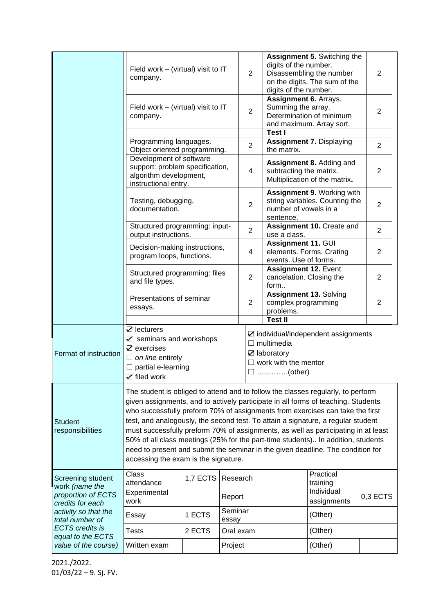|                                                                               | Field work – (virtual) visit to IT<br>company.                                                                                                                                                                                                                                                                                                                                                                                                                                                                                                                                                                                                  |          |                  | 2                                                                                                                                                      | <b>Assignment 5. Switching the</b><br>digits of the number.<br>Disassembling the number<br>on the digits. The sum of the<br>digits of the number. |                           | 2              |
|-------------------------------------------------------------------------------|-------------------------------------------------------------------------------------------------------------------------------------------------------------------------------------------------------------------------------------------------------------------------------------------------------------------------------------------------------------------------------------------------------------------------------------------------------------------------------------------------------------------------------------------------------------------------------------------------------------------------------------------------|----------|------------------|--------------------------------------------------------------------------------------------------------------------------------------------------------|---------------------------------------------------------------------------------------------------------------------------------------------------|---------------------------|----------------|
|                                                                               | Field work – (virtual) visit to IT<br>company.                                                                                                                                                                                                                                                                                                                                                                                                                                                                                                                                                                                                  |          |                  | $\overline{2}$                                                                                                                                         | Assignment 6. Arrays.<br>Summing the array.<br>Determination of minimum<br>and maximum. Array sort.                                               |                           | 2              |
|                                                                               | Programming languages.<br>Object oriented programming.                                                                                                                                                                                                                                                                                                                                                                                                                                                                                                                                                                                          |          |                  | $\overline{2}$                                                                                                                                         | Test I<br><b>Assignment 7. Displaying</b><br>the matrix.                                                                                          | $\overline{2}$            |                |
|                                                                               | Development of software<br>support: problem specification,<br>algorithm development,<br>instructional entry.<br>Testing, debugging,<br>documentation.                                                                                                                                                                                                                                                                                                                                                                                                                                                                                           |          |                  | 4                                                                                                                                                      | Assignment 8. Adding and<br>subtracting the matrix.<br>Multiplication of the matrix.                                                              | 2                         |                |
|                                                                               |                                                                                                                                                                                                                                                                                                                                                                                                                                                                                                                                                                                                                                                 |          |                  | $\overline{2}$                                                                                                                                         | Assignment 9. Working with<br>string variables. Counting the<br>number of vowels in a<br>sentence.                                                |                           | 2              |
|                                                                               | Structured programming: input-<br>output instructions.                                                                                                                                                                                                                                                                                                                                                                                                                                                                                                                                                                                          |          |                  | $\overline{2}$                                                                                                                                         | Assignment 10. Create and<br>use a class.                                                                                                         |                           | $\overline{2}$ |
|                                                                               | Decision-making instructions,<br>program loops, functions.<br>Structured programming: files<br>and file types.                                                                                                                                                                                                                                                                                                                                                                                                                                                                                                                                  |          |                  | 4                                                                                                                                                      | <b>Assignment 11. GUI</b><br>elements. Forms. Crating<br>events. Use of forms.                                                                    | 2                         |                |
|                                                                               |                                                                                                                                                                                                                                                                                                                                                                                                                                                                                                                                                                                                                                                 |          |                  | 2                                                                                                                                                      | <b>Assignment 12. Event</b><br>cancelation. Closing the<br>form                                                                                   |                           |                |
|                                                                               | Presentations of seminar<br>essays.                                                                                                                                                                                                                                                                                                                                                                                                                                                                                                                                                                                                             |          |                  | 2                                                                                                                                                      | <b>Assignment 13. Solving</b><br>complex programming<br>problems.                                                                                 |                           | 2              |
| Format of instruction                                                         | $\boxtimes$ lecturers<br>$\mathbf Z$ seminars and workshops<br>$\mathbf Z$ exercises<br>$\Box$ on line entirely<br>$\Box$ partial e-learning<br>$\boxtimes$ filed work                                                                                                                                                                                                                                                                                                                                                                                                                                                                          |          |                  | <b>Test II</b><br>$\mathbf Z$ individual/independent assignments<br>$\Box$ multimedia<br>☑ laboratory<br>$\Box$ work with the mentor<br>□ ……………(other) |                                                                                                                                                   |                           |                |
| <b>Student</b><br>responsibilities                                            | The student is obliged to attend and to follow the classes regularly, to perform<br>given assignments, and to actively participate in all forms of teaching. Students<br>who successfully preform 70% of assignments from exercises can take the first<br>test, and analogously, the second test. To attain a signature, a regular student<br>must successfully preform 70% of assignments, as well as participating in at least<br>50% of all class meetings (25% for the part-time students) In addition, students<br>need to present and submit the seminar in the given deadline. The condition for<br>accessing the exam is the signature. |          |                  |                                                                                                                                                        |                                                                                                                                                   |                           |                |
| Screening student<br>work (name the<br>proportion of ECTS<br>credits for each | Class<br>attendance                                                                                                                                                                                                                                                                                                                                                                                                                                                                                                                                                                                                                             | 1,7 ECTS | Research         |                                                                                                                                                        |                                                                                                                                                   | Practical<br>training     |                |
|                                                                               | Experimental<br>work                                                                                                                                                                                                                                                                                                                                                                                                                                                                                                                                                                                                                            |          | Report           |                                                                                                                                                        |                                                                                                                                                   | Individual<br>assignments | 0,3 ECTS       |
| activity so that the<br>total number of                                       | Essay                                                                                                                                                                                                                                                                                                                                                                                                                                                                                                                                                                                                                                           | 1 ECTS   | Seminar<br>essay |                                                                                                                                                        |                                                                                                                                                   | (Other)                   |                |
| <b>ECTS</b> credits is<br>equal to the ECTS                                   | <b>Tests</b>                                                                                                                                                                                                                                                                                                                                                                                                                                                                                                                                                                                                                                    | 2 ECTS   | Oral exam        |                                                                                                                                                        |                                                                                                                                                   | (Other)                   |                |
| value of the course)                                                          | Written exam                                                                                                                                                                                                                                                                                                                                                                                                                                                                                                                                                                                                                                    |          | Project          |                                                                                                                                                        |                                                                                                                                                   | (Other)                   |                |

2021./2022. 01/03/22 – 9. Sj. FV.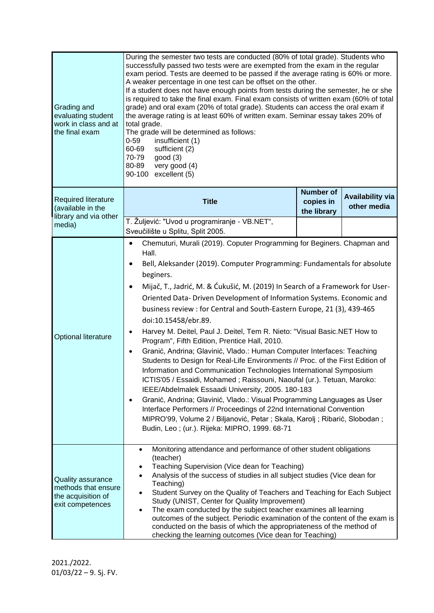| Grading and<br>evaluating student<br>work in class and at<br>the final exam               | During the semester two tests are conducted (80% of total grade). Students who<br>successfully passed two tests were are exempted from the exam in the regular<br>exam period. Tests are deemed to be passed if the average rating is 60% or more.<br>A weaker percentage in one test can be offset on the other.<br>If a student does not have enough points from tests during the semester, he or she<br>is required to take the final exam. Final exam consists of written exam (60% of total<br>grade) and oral exam (20% of total grade). Students can access the oral exam if<br>the average rating is at least 60% of written exam. Seminar essay takes 20% of<br>total grade.<br>The grade will be determined as follows:<br>$0 - 59$<br>insufficient (1)<br>60-69<br>sufficient (2)<br>70-79<br>good(3)<br>80-89<br>very good (4)<br>90-100 excellent (5)                                                                                                                                                                                                                                                                                                                                                                                               |  |  |  |  |
|-------------------------------------------------------------------------------------------|------------------------------------------------------------------------------------------------------------------------------------------------------------------------------------------------------------------------------------------------------------------------------------------------------------------------------------------------------------------------------------------------------------------------------------------------------------------------------------------------------------------------------------------------------------------------------------------------------------------------------------------------------------------------------------------------------------------------------------------------------------------------------------------------------------------------------------------------------------------------------------------------------------------------------------------------------------------------------------------------------------------------------------------------------------------------------------------------------------------------------------------------------------------------------------------------------------------------------------------------------------------|--|--|--|--|
| <b>Required literature</b><br>(available in the<br>library and via other                  | <b>Number of</b><br><b>Availability via</b><br><b>Title</b><br>copies in<br>other media<br>the library                                                                                                                                                                                                                                                                                                                                                                                                                                                                                                                                                                                                                                                                                                                                                                                                                                                                                                                                                                                                                                                                                                                                                           |  |  |  |  |
| media)                                                                                    | T. Žuljević: "Uvod u programiranje - VB.NET",<br>Sveučilište u Splitu, Split 2005.                                                                                                                                                                                                                                                                                                                                                                                                                                                                                                                                                                                                                                                                                                                                                                                                                                                                                                                                                                                                                                                                                                                                                                               |  |  |  |  |
| <b>Optional literature</b>                                                                | Chemuturi, Murali (2019). Coputer Programming for Beginers. Chapman and<br>Hall.<br>Bell, Aleksander (2019). Computer Programming: Fundamentals for absolute<br>beginers.<br>Mijač, T., Jadrić, M. & Ćukušić, M. (2019) In Search of a Framework for User-<br>Oriented Data- Driven Development of Information Systems. Economic and<br>business review : for Central and South-Eastern Europe, 21 (3), 439-465<br>doi:10.15458/ebr.89.<br>Harvey M. Deitel, Paul J. Deitel, Tem R. Nieto: "Visual Basic.NET How to<br>$\bullet$<br>Program", Fifth Edition, Prentice Hall, 2010.<br>Granić, Andrina; Glavinić, Vlado.: Human Computer Interfaces: Teaching<br>$\bullet$<br>Students to Design for Real-Life Environments // Proc. of the First Edition of<br>Information and Communication Technologies International Symposium<br>ICTIS'05 / Essaidi, Mohamed; Raissouni, Naoufal (ur.). Tetuan, Maroko:<br>IEEE/Abdelmalek Essaadi University, 2005. 180-183<br>Granić, Andrina; Glavinić, Vlado.: Visual Programming Languages as User<br>$\bullet$<br>Interface Performers // Proceedings of 22nd International Convention<br>MIPRO'99, Volume 2 / Biljanović, Petar ; Skala, Karolj ; Ribarić, Slobodan ;<br>Budin, Leo; (ur.). Rijeka: MIPRO, 1999. 68-71 |  |  |  |  |
| <b>Quality assurance</b><br>methods that ensure<br>the acquisition of<br>exit competences | Monitoring attendance and performance of other student obligations<br>$\bullet$<br>(teacher)<br>Teaching Supervision (Vice dean for Teaching)<br>Analysis of the success of studies in all subject studies (Vice dean for<br>Teaching)<br>Student Survey on the Quality of Teachers and Teaching for Each Subject<br>٠<br>Study (UNIST, Center for Quality Improvement)<br>The exam conducted by the subject teacher examines all learning<br>$\bullet$<br>outcomes of the subject. Periodic examination of the content of the exam is<br>conducted on the basis of which the appropriateness of the method of<br>checking the learning outcomes (Vice dean for Teaching)                                                                                                                                                                                                                                                                                                                                                                                                                                                                                                                                                                                        |  |  |  |  |